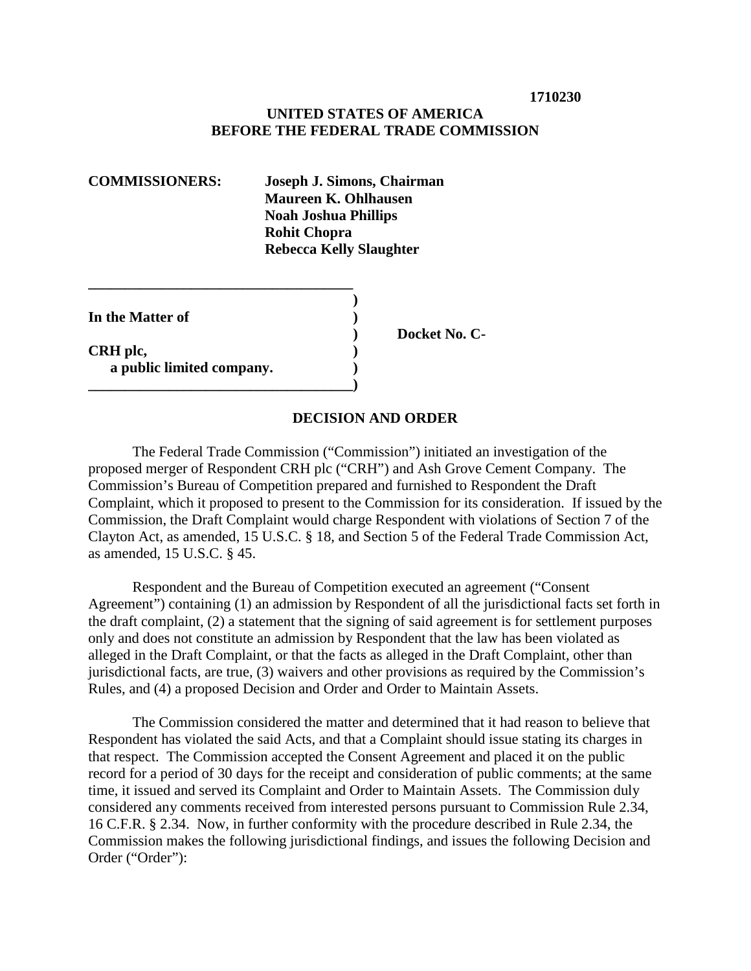### **UNITED STATES OF AMERICA BEFORE THE FEDERAL TRADE COMMISSION**

| <b>COMMISSIONERS:</b>                                     | Joseph J. Simons, Chairman<br><b>Maureen K. Ohlhausen</b><br><b>Noah Joshua Phillips</b><br><b>Rohit Chopra</b> |  |
|-----------------------------------------------------------|-----------------------------------------------------------------------------------------------------------------|--|
|                                                           |                                                                                                                 |  |
| In the Matter of<br>CRH plc,<br>a public limited company. | Docket                                                                                                          |  |

**\_\_\_\_\_\_\_\_\_\_\_\_\_\_\_\_\_\_\_\_\_\_\_\_\_\_\_\_\_\_\_\_\_\_\_\_)**

#### **DECISION AND ORDER**

**No. C-**

The Federal Trade Commission ("Commission") initiated an investigation of the proposed merger of Respondent CRH plc ("CRH") and Ash Grove Cement Company. The Commission's Bureau of Competition prepared and furnished to Respondent the Draft Complaint, which it proposed to present to the Commission for its consideration. If issued by the Commission, the Draft Complaint would charge Respondent with violations of Section 7 of the Clayton Act, as amended, 15 U.S.C. § 18, and Section 5 of the Federal Trade Commission Act, as amended, 15 U.S.C. § 45.

Respondent and the Bureau of Competition executed an agreement ("Consent Agreement") containing (1) an admission by Respondent of all the jurisdictional facts set forth in the draft complaint, (2) a statement that the signing of said agreement is for settlement purposes only and does not constitute an admission by Respondent that the law has been violated as alleged in the Draft Complaint, or that the facts as alleged in the Draft Complaint, other than jurisdictional facts, are true, (3) waivers and other provisions as required by the Commission's Rules, and (4) a proposed Decision and Order and Order to Maintain Assets.

The Commission considered the matter and determined that it had reason to believe that Respondent has violated the said Acts, and that a Complaint should issue stating its charges in that respect. The Commission accepted the Consent Agreement and placed it on the public record for a period of 30 days for the receipt and consideration of public comments; at the same time, it issued and served its Complaint and Order to Maintain Assets. The Commission duly considered any comments received from interested persons pursuant to Commission Rule 2.34, 16 C.F.R. § 2.34. Now, in further conformity with the procedure described in Rule 2.34, the Commission makes the following jurisdictional findings, and issues the following Decision and Order ("Order"):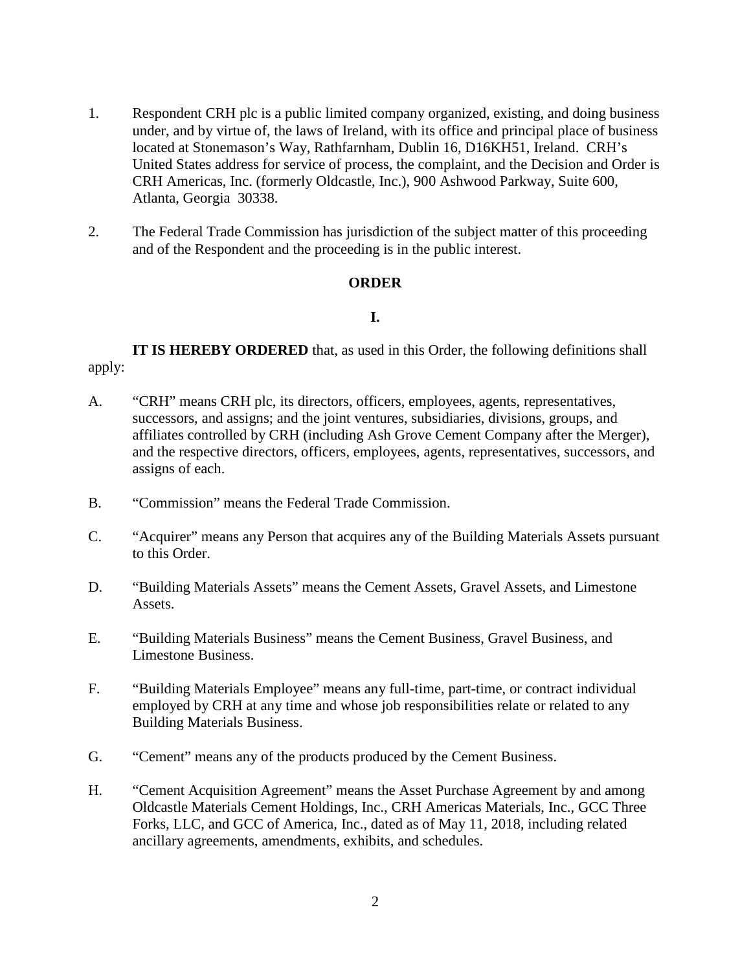- 1. Respondent CRH plc is a public limited company organized, existing, and doing business under, and by virtue of, the laws of Ireland, with its office and principal place of business located at Stonemason's Way, Rathfarnham, Dublin 16, D16KH51, Ireland. CRH's United States address for service of process, the complaint, and the Decision and Order is CRH Americas, Inc. (formerly Oldcastle, Inc.), 900 Ashwood Parkway, Suite 600, Atlanta, Georgia 30338.
- 2. The Federal Trade Commission has jurisdiction of the subject matter of this proceeding and of the Respondent and the proceeding is in the public interest.

#### **ORDER**

## **I.**

**IT IS HEREBY ORDERED** that, as used in this Order, the following definitions shall apply:

- A. "CRH" means CRH plc, its directors, officers, employees, agents, representatives, successors, and assigns; and the joint ventures, subsidiaries, divisions, groups, and affiliates controlled by CRH (including Ash Grove Cement Company after the Merger), and the respective directors, officers, employees, agents, representatives, successors, and assigns of each.
- B. "Commission" means the Federal Trade Commission.
- C. "Acquirer" means any Person that acquires any of the Building Materials Assets pursuant to this Order.
- D. "Building Materials Assets" means the Cement Assets, Gravel Assets, and Limestone Assets.
- E. "Building Materials Business" means the Cement Business, Gravel Business, and Limestone Business.
- F. "Building Materials Employee" means any full-time, part-time, or contract individual employed by CRH at any time and whose job responsibilities relate or related to any Building Materials Business.
- G. "Cement" means any of the products produced by the Cement Business.
- H. "Cement Acquisition Agreement" means the Asset Purchase Agreement by and among Oldcastle Materials Cement Holdings, Inc., CRH Americas Materials, Inc., GCC Three Forks, LLC, and GCC of America, Inc., dated as of May 11, 2018, including related ancillary agreements, amendments, exhibits, and schedules.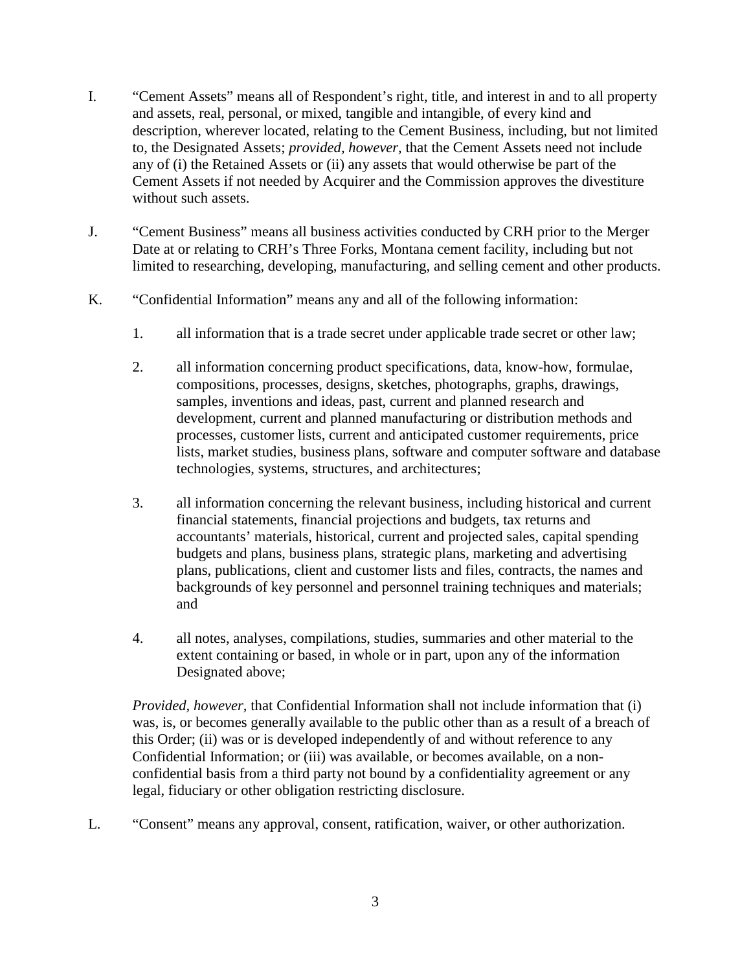- I. "Cement Assets" means all of Respondent's right, title, and interest in and to all property and assets, real, personal, or mixed, tangible and intangible, of every kind and description, wherever located, relating to the Cement Business, including, but not limited to, the Designated Assets; *provided, however,* that the Cement Assets need not include any of (i) the Retained Assets or (ii) any assets that would otherwise be part of the Cement Assets if not needed by Acquirer and the Commission approves the divestiture without such assets.
- J. "Cement Business" means all business activities conducted by CRH prior to the Merger Date at or relating to CRH's Three Forks, Montana cement facility, including but not limited to researching, developing, manufacturing, and selling cement and other products.
- K. "Confidential Information" means any and all of the following information:
	- 1. all information that is a trade secret under applicable trade secret or other law;
	- 2. all information concerning product specifications, data, know-how, formulae, compositions, processes, designs, sketches, photographs, graphs, drawings, samples, inventions and ideas, past, current and planned research and development, current and planned manufacturing or distribution methods and processes, customer lists, current and anticipated customer requirements, price lists, market studies, business plans, software and computer software and database technologies, systems, structures, and architectures;
	- 3. all information concerning the relevant business, including historical and current financial statements, financial projections and budgets, tax returns and accountants' materials, historical, current and projected sales, capital spending budgets and plans, business plans, strategic plans, marketing and advertising plans, publications, client and customer lists and files, contracts, the names and backgrounds of key personnel and personnel training techniques and materials; and
	- 4. all notes, analyses, compilations, studies, summaries and other material to the extent containing or based, in whole or in part, upon any of the information Designated above;

*Provided, however,* that Confidential Information shall not include information that (i) was, is, or becomes generally available to the public other than as a result of a breach of this Order; (ii) was or is developed independently of and without reference to any Confidential Information; or (iii) was available, or becomes available, on a nonconfidential basis from a third party not bound by a confidentiality agreement or any legal, fiduciary or other obligation restricting disclosure.

L. "Consent" means any approval, consent, ratification, waiver, or other authorization.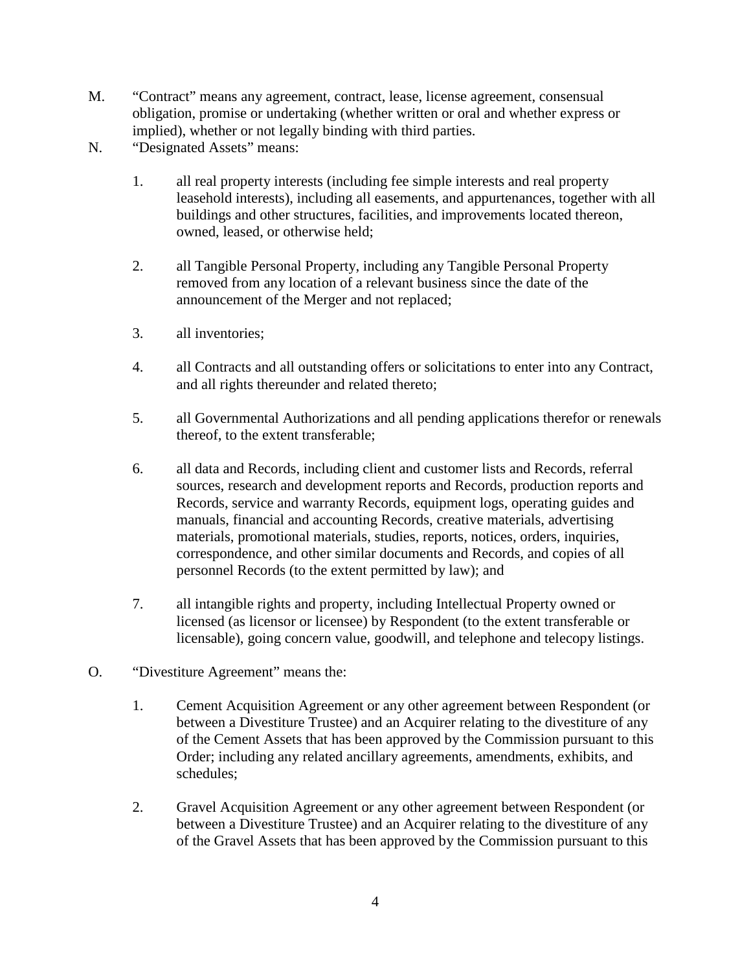- M. "Contract" means any agreement, contract, lease, license agreement, consensual obligation, promise or undertaking (whether written or oral and whether express or implied), whether or not legally binding with third parties.
- N. "Designated Assets" means:
	- 1. all real property interests (including fee simple interests and real property leasehold interests), including all easements, and appurtenances, together with all buildings and other structures, facilities, and improvements located thereon, owned, leased, or otherwise held;
	- 2. all Tangible Personal Property, including any Tangible Personal Property removed from any location of a relevant business since the date of the announcement of the Merger and not replaced;
	- 3. all inventories;
	- 4. all Contracts and all outstanding offers or solicitations to enter into any Contract, and all rights thereunder and related thereto;
	- 5. all Governmental Authorizations and all pending applications therefor or renewals thereof, to the extent transferable;
	- 6. all data and Records, including client and customer lists and Records, referral sources, research and development reports and Records, production reports and Records, service and warranty Records, equipment logs, operating guides and manuals, financial and accounting Records, creative materials, advertising materials, promotional materials, studies, reports, notices, orders, inquiries, correspondence, and other similar documents and Records, and copies of all personnel Records (to the extent permitted by law); and
	- 7. all intangible rights and property, including Intellectual Property owned or licensed (as licensor or licensee) by Respondent (to the extent transferable or licensable), going concern value, goodwill, and telephone and telecopy listings.
- O. "Divestiture Agreement" means the:
	- 1. Cement Acquisition Agreement or any other agreement between Respondent (or between a Divestiture Trustee) and an Acquirer relating to the divestiture of any of the Cement Assets that has been approved by the Commission pursuant to this Order; including any related ancillary agreements, amendments, exhibits, and schedules;
	- 2. Gravel Acquisition Agreement or any other agreement between Respondent (or between a Divestiture Trustee) and an Acquirer relating to the divestiture of any of the Gravel Assets that has been approved by the Commission pursuant to this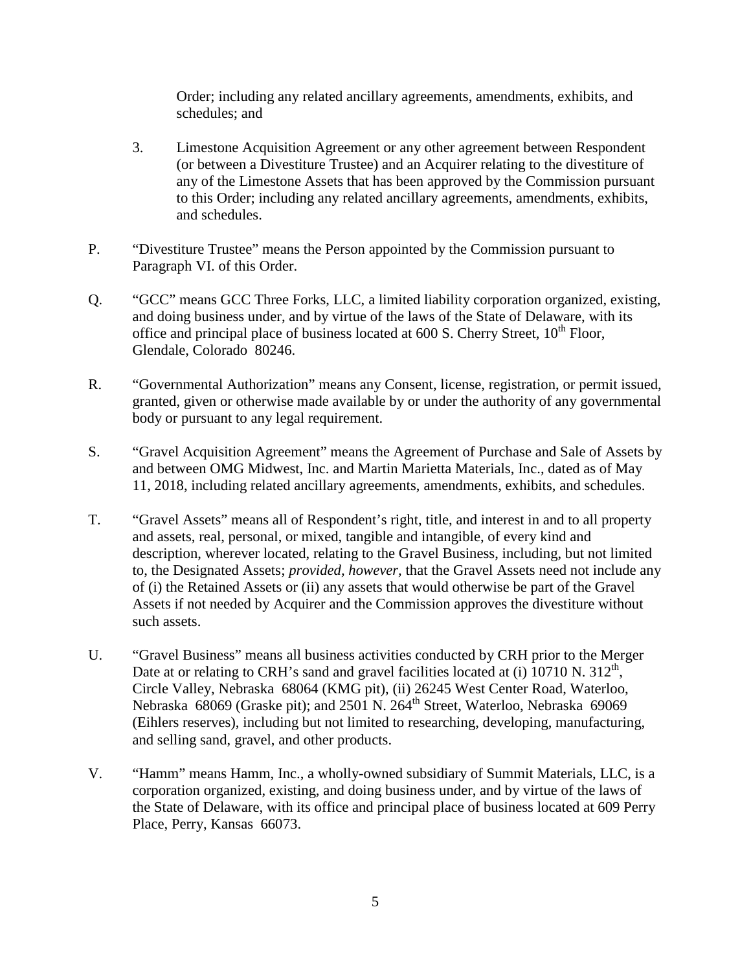Order; including any related ancillary agreements, amendments, exhibits, and schedules; and

- 3. Limestone Acquisition Agreement or any other agreement between Respondent (or between a Divestiture Trustee) and an Acquirer relating to the divestiture of any of the Limestone Assets that has been approved by the Commission pursuant to this Order; including any related ancillary agreements, amendments, exhibits, and schedules.
- P. "Divestiture Trustee" means the Person appointed by the Commission pursuant to Paragraph VI. of this Order.
- Q. "GCC" means GCC Three Forks, LLC, a limited liability corporation organized, existing, and doing business under, and by virtue of the laws of the State of Delaware, with its office and principal place of business located at  $600$  S. Cherry Street,  $10^{th}$  Floor, Glendale, Colorado 80246.
- R. "Governmental Authorization" means any Consent, license, registration, or permit issued, granted, given or otherwise made available by or under the authority of any governmental body or pursuant to any legal requirement.
- S. "Gravel Acquisition Agreement" means the Agreement of Purchase and Sale of Assets by and between OMG Midwest, Inc. and Martin Marietta Materials, Inc., dated as of May 11, 2018, including related ancillary agreements, amendments, exhibits, and schedules.
- T. "Gravel Assets" means all of Respondent's right, title, and interest in and to all property and assets, real, personal, or mixed, tangible and intangible, of every kind and description, wherever located, relating to the Gravel Business, including, but not limited to, the Designated Assets; *provided, however,* that the Gravel Assets need not include any of (i) the Retained Assets or (ii) any assets that would otherwise be part of the Gravel Assets if not needed by Acquirer and the Commission approves the divestiture without such assets.
- U. "Gravel Business" means all business activities conducted by CRH prior to the Merger Date at or relating to CRH's sand and gravel facilities located at (i) 10710 N.  $312<sup>th</sup>$ , Circle Valley, Nebraska 68064 (KMG pit), (ii) 26245 West Center Road, Waterloo, Nebraska 68069 (Graske pit); and 2501 N. 264<sup>th</sup> Street, Waterloo, Nebraska 69069 (Eihlers reserves), including but not limited to researching, developing, manufacturing, and selling sand, gravel, and other products.
- V. "Hamm" means Hamm, Inc., a wholly-owned subsidiary of Summit Materials, LLC, is a corporation organized, existing, and doing business under, and by virtue of the laws of the State of Delaware, with its office and principal place of business located at 609 Perry Place, Perry, Kansas 66073.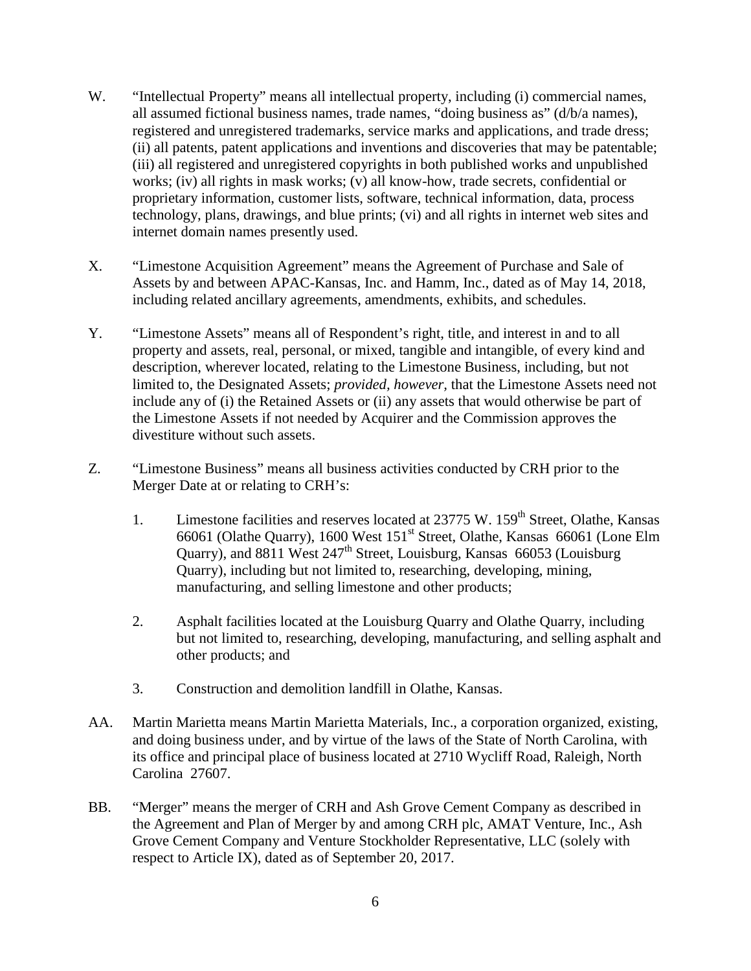- W. "Intellectual Property" means all intellectual property, including (i) commercial names, all assumed fictional business names, trade names, "doing business as" (d/b/a names), registered and unregistered trademarks, service marks and applications, and trade dress; (ii) all patents, patent applications and inventions and discoveries that may be patentable; (iii) all registered and unregistered copyrights in both published works and unpublished works; (iv) all rights in mask works; (v) all know-how, trade secrets, confidential or proprietary information, customer lists, software, technical information, data, process technology, plans, drawings, and blue prints; (vi) and all rights in internet web sites and internet domain names presently used.
- X. "Limestone Acquisition Agreement" means the Agreement of Purchase and Sale of Assets by and between APAC-Kansas, Inc. and Hamm, Inc., dated as of May 14, 2018, including related ancillary agreements, amendments, exhibits, and schedules.
- Y. "Limestone Assets" means all of Respondent's right, title, and interest in and to all property and assets, real, personal, or mixed, tangible and intangible, of every kind and description, wherever located, relating to the Limestone Business, including, but not limited to, the Designated Assets; *provided, however,* that the Limestone Assets need not include any of (i) the Retained Assets or (ii) any assets that would otherwise be part of the Limestone Assets if not needed by Acquirer and the Commission approves the divestiture without such assets.
- Z. "Limestone Business" means all business activities conducted by CRH prior to the Merger Date at or relating to CRH's:
	- 1. Limestone facilities and reserves located at 23775 W. 159<sup>th</sup> Street, Olathe, Kansas 66061 (Olathe Quarry), 1600 West 151st Street, Olathe, Kansas 66061 (Lone Elm Ouarry), and 8811 West  $247<sup>th</sup>$  Street, Louisburg, Kansas 66053 (Louisburg Quarry), including but not limited to, researching, developing, mining, manufacturing, and selling limestone and other products;
	- 2. Asphalt facilities located at the Louisburg Quarry and Olathe Quarry, including but not limited to, researching, developing, manufacturing, and selling asphalt and other products; and
	- 3. Construction and demolition landfill in Olathe, Kansas.
- AA. Martin Marietta means Martin Marietta Materials, Inc., a corporation organized, existing, and doing business under, and by virtue of the laws of the State of North Carolina, with its office and principal place of business located at 2710 Wycliff Road, Raleigh, North Carolina 27607.
- BB. "Merger" means the merger of CRH and Ash Grove Cement Company as described in the Agreement and Plan of Merger by and among CRH plc, AMAT Venture, Inc., Ash Grove Cement Company and Venture Stockholder Representative, LLC (solely with respect to Article IX), dated as of September 20, 2017.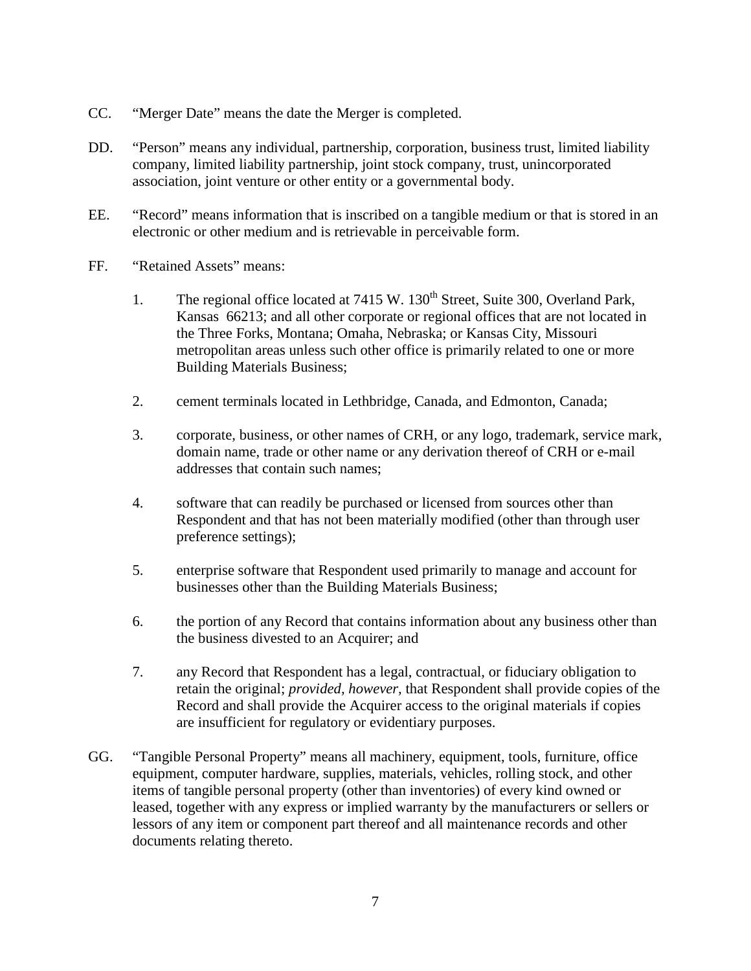- CC. "Merger Date" means the date the Merger is completed.
- DD. "Person" means any individual, partnership, corporation, business trust, limited liability company, limited liability partnership, joint stock company, trust, unincorporated association, joint venture or other entity or a governmental body.
- EE. "Record" means information that is inscribed on a tangible medium or that is stored in an electronic or other medium and is retrievable in perceivable form.
- FF. "Retained Assets" means:
	- 1. The regional office located at 7415 W. 130<sup>th</sup> Street, Suite 300, Overland Park, Kansas 66213; and all other corporate or regional offices that are not located in the Three Forks, Montana; Omaha, Nebraska; or Kansas City, Missouri metropolitan areas unless such other office is primarily related to one or more Building Materials Business;
	- 2. cement terminals located in Lethbridge, Canada, and Edmonton, Canada;
	- 3. corporate, business, or other names of CRH, or any logo, trademark, service mark, domain name, trade or other name or any derivation thereof of CRH or e-mail addresses that contain such names;
	- 4. software that can readily be purchased or licensed from sources other than Respondent and that has not been materially modified (other than through user preference settings);
	- 5. enterprise software that Respondent used primarily to manage and account for businesses other than the Building Materials Business;
	- 6. the portion of any Record that contains information about any business other than the business divested to an Acquirer; and
	- 7. any Record that Respondent has a legal, contractual, or fiduciary obligation to retain the original; *provided, however,* that Respondent shall provide copies of the Record and shall provide the Acquirer access to the original materials if copies are insufficient for regulatory or evidentiary purposes.
- GG. "Tangible Personal Property" means all machinery, equipment, tools, furniture, office equipment, computer hardware, supplies, materials, vehicles, rolling stock, and other items of tangible personal property (other than inventories) of every kind owned or leased, together with any express or implied warranty by the manufacturers or sellers or lessors of any item or component part thereof and all maintenance records and other documents relating thereto.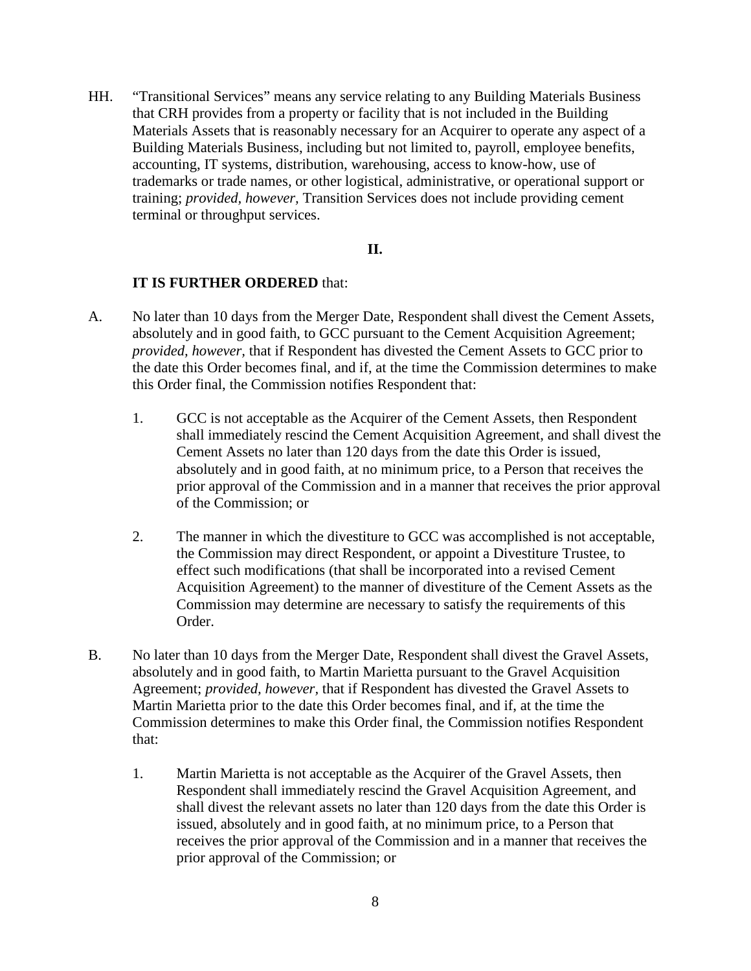HH. "Transitional Services" means any service relating to any Building Materials Business that CRH provides from a property or facility that is not included in the Building Materials Assets that is reasonably necessary for an Acquirer to operate any aspect of a Building Materials Business, including but not limited to, payroll, employee benefits, accounting, IT systems, distribution, warehousing, access to know-how, use of trademarks or trade names, or other logistical, administrative, or operational support or training; *provided, however,* Transition Services does not include providing cement terminal or throughput services.

#### **II.**

- A. No later than 10 days from the Merger Date, Respondent shall divest the Cement Assets, absolutely and in good faith, to GCC pursuant to the Cement Acquisition Agreement; *provided, however,* that if Respondent has divested the Cement Assets to GCC prior to the date this Order becomes final, and if, at the time the Commission determines to make this Order final, the Commission notifies Respondent that:
	- 1. GCC is not acceptable as the Acquirer of the Cement Assets, then Respondent shall immediately rescind the Cement Acquisition Agreement, and shall divest the Cement Assets no later than 120 days from the date this Order is issued, absolutely and in good faith, at no minimum price, to a Person that receives the prior approval of the Commission and in a manner that receives the prior approval of the Commission; or
	- 2. The manner in which the divestiture to GCC was accomplished is not acceptable, the Commission may direct Respondent, or appoint a Divestiture Trustee, to effect such modifications (that shall be incorporated into a revised Cement Acquisition Agreement) to the manner of divestiture of the Cement Assets as the Commission may determine are necessary to satisfy the requirements of this Order.
- B. No later than 10 days from the Merger Date, Respondent shall divest the Gravel Assets, absolutely and in good faith, to Martin Marietta pursuant to the Gravel Acquisition Agreement; *provided, however,* that if Respondent has divested the Gravel Assets to Martin Marietta prior to the date this Order becomes final, and if, at the time the Commission determines to make this Order final, the Commission notifies Respondent that:
	- 1. Martin Marietta is not acceptable as the Acquirer of the Gravel Assets, then Respondent shall immediately rescind the Gravel Acquisition Agreement, and shall divest the relevant assets no later than 120 days from the date this Order is issued, absolutely and in good faith, at no minimum price, to a Person that receives the prior approval of the Commission and in a manner that receives the prior approval of the Commission; or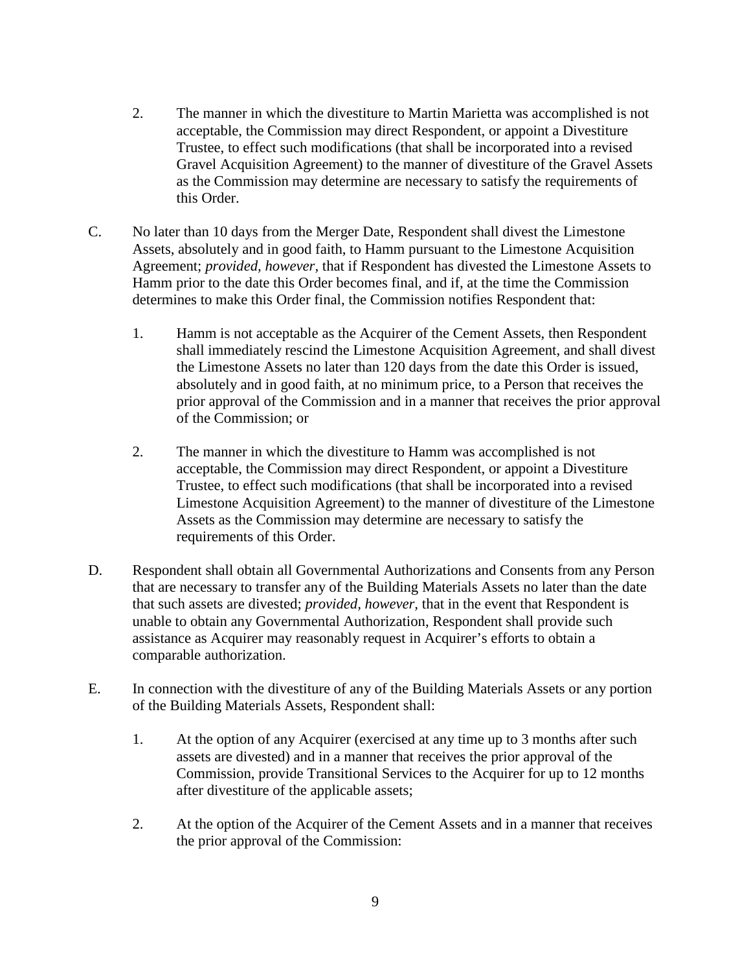- 2. The manner in which the divestiture to Martin Marietta was accomplished is not acceptable, the Commission may direct Respondent, or appoint a Divestiture Trustee, to effect such modifications (that shall be incorporated into a revised Gravel Acquisition Agreement) to the manner of divestiture of the Gravel Assets as the Commission may determine are necessary to satisfy the requirements of this Order.
- C. No later than 10 days from the Merger Date, Respondent shall divest the Limestone Assets, absolutely and in good faith, to Hamm pursuant to the Limestone Acquisition Agreement; *provided, however,* that if Respondent has divested the Limestone Assets to Hamm prior to the date this Order becomes final, and if, at the time the Commission determines to make this Order final, the Commission notifies Respondent that:
	- 1. Hamm is not acceptable as the Acquirer of the Cement Assets, then Respondent shall immediately rescind the Limestone Acquisition Agreement, and shall divest the Limestone Assets no later than 120 days from the date this Order is issued, absolutely and in good faith, at no minimum price, to a Person that receives the prior approval of the Commission and in a manner that receives the prior approval of the Commission; or
	- 2. The manner in which the divestiture to Hamm was accomplished is not acceptable, the Commission may direct Respondent, or appoint a Divestiture Trustee, to effect such modifications (that shall be incorporated into a revised Limestone Acquisition Agreement) to the manner of divestiture of the Limestone Assets as the Commission may determine are necessary to satisfy the requirements of this Order.
- D. Respondent shall obtain all Governmental Authorizations and Consents from any Person that are necessary to transfer any of the Building Materials Assets no later than the date that such assets are divested; *provided, however,* that in the event that Respondent is unable to obtain any Governmental Authorization, Respondent shall provide such assistance as Acquirer may reasonably request in Acquirer's efforts to obtain a comparable authorization.
- E. In connection with the divestiture of any of the Building Materials Assets or any portion of the Building Materials Assets, Respondent shall:
	- 1. At the option of any Acquirer (exercised at any time up to 3 months after such assets are divested) and in a manner that receives the prior approval of the Commission, provide Transitional Services to the Acquirer for up to 12 months after divestiture of the applicable assets;
	- 2. At the option of the Acquirer of the Cement Assets and in a manner that receives the prior approval of the Commission: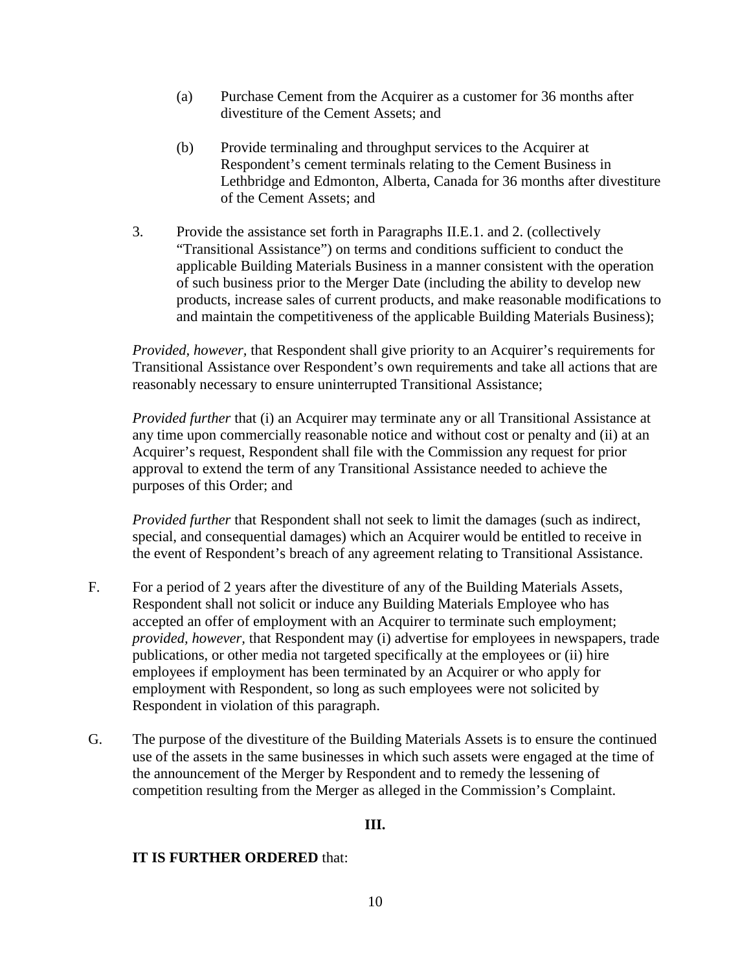- (a) Purchase Cement from the Acquirer as a customer for 36 months after divestiture of the Cement Assets; and
- (b) Provide terminaling and throughput services to the Acquirer at Respondent's cement terminals relating to the Cement Business in Lethbridge and Edmonton, Alberta, Canada for 36 months after divestiture of the Cement Assets; and
- 3. Provide the assistance set forth in Paragraphs II.E.1. and 2. (collectively "Transitional Assistance") on terms and conditions sufficient to conduct the applicable Building Materials Business in a manner consistent with the operation of such business prior to the Merger Date (including the ability to develop new products, increase sales of current products, and make reasonable modifications to and maintain the competitiveness of the applicable Building Materials Business);

*Provided, however,* that Respondent shall give priority to an Acquirer's requirements for Transitional Assistance over Respondent's own requirements and take all actions that are reasonably necessary to ensure uninterrupted Transitional Assistance;

*Provided further* that (i) an Acquirer may terminate any or all Transitional Assistance at any time upon commercially reasonable notice and without cost or penalty and (ii) at an Acquirer's request, Respondent shall file with the Commission any request for prior approval to extend the term of any Transitional Assistance needed to achieve the purposes of this Order; and

*Provided further* that Respondent shall not seek to limit the damages (such as indirect, special, and consequential damages) which an Acquirer would be entitled to receive in the event of Respondent's breach of any agreement relating to Transitional Assistance.

- F. For a period of 2 years after the divestiture of any of the Building Materials Assets, Respondent shall not solicit or induce any Building Materials Employee who has accepted an offer of employment with an Acquirer to terminate such employment; *provided, however,* that Respondent may (i) advertise for employees in newspapers, trade publications, or other media not targeted specifically at the employees or (ii) hire employees if employment has been terminated by an Acquirer or who apply for employment with Respondent, so long as such employees were not solicited by Respondent in violation of this paragraph.
- G. The purpose of the divestiture of the Building Materials Assets is to ensure the continued use of the assets in the same businesses in which such assets were engaged at the time of the announcement of the Merger by Respondent and to remedy the lessening of competition resulting from the Merger as alleged in the Commission's Complaint.

# **III.**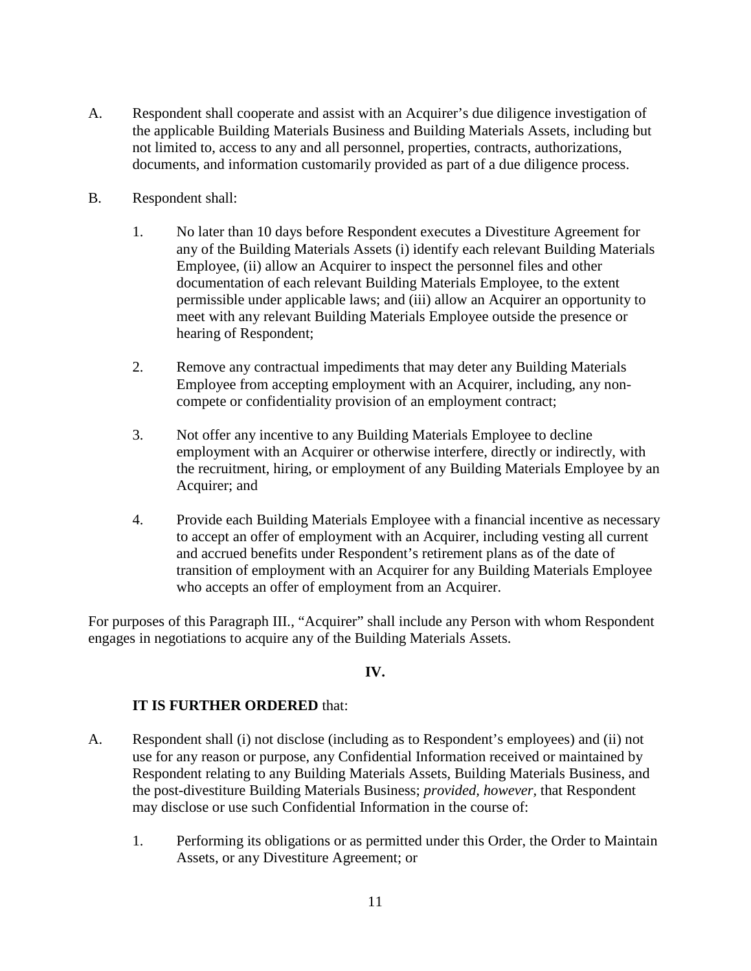- A. Respondent shall cooperate and assist with an Acquirer's due diligence investigation of the applicable Building Materials Business and Building Materials Assets, including but not limited to, access to any and all personnel, properties, contracts, authorizations, documents, and information customarily provided as part of a due diligence process.
- B. Respondent shall:
	- 1. No later than 10 days before Respondent executes a Divestiture Agreement for any of the Building Materials Assets (i) identify each relevant Building Materials Employee, (ii) allow an Acquirer to inspect the personnel files and other documentation of each relevant Building Materials Employee, to the extent permissible under applicable laws; and (iii) allow an Acquirer an opportunity to meet with any relevant Building Materials Employee outside the presence or hearing of Respondent;
	- 2. Remove any contractual impediments that may deter any Building Materials Employee from accepting employment with an Acquirer, including, any noncompete or confidentiality provision of an employment contract;
	- 3. Not offer any incentive to any Building Materials Employee to decline employment with an Acquirer or otherwise interfere, directly or indirectly, with the recruitment, hiring, or employment of any Building Materials Employee by an Acquirer; and
	- 4. Provide each Building Materials Employee with a financial incentive as necessary to accept an offer of employment with an Acquirer, including vesting all current and accrued benefits under Respondent's retirement plans as of the date of transition of employment with an Acquirer for any Building Materials Employee who accepts an offer of employment from an Acquirer.

For purposes of this Paragraph III., "Acquirer" shall include any Person with whom Respondent engages in negotiations to acquire any of the Building Materials Assets.

### **IV.**

- A. Respondent shall (i) not disclose (including as to Respondent's employees) and (ii) not use for any reason or purpose, any Confidential Information received or maintained by Respondent relating to any Building Materials Assets, Building Materials Business, and the post-divestiture Building Materials Business; *provided, however,* that Respondent may disclose or use such Confidential Information in the course of:
	- 1. Performing its obligations or as permitted under this Order, the Order to Maintain Assets, or any Divestiture Agreement; or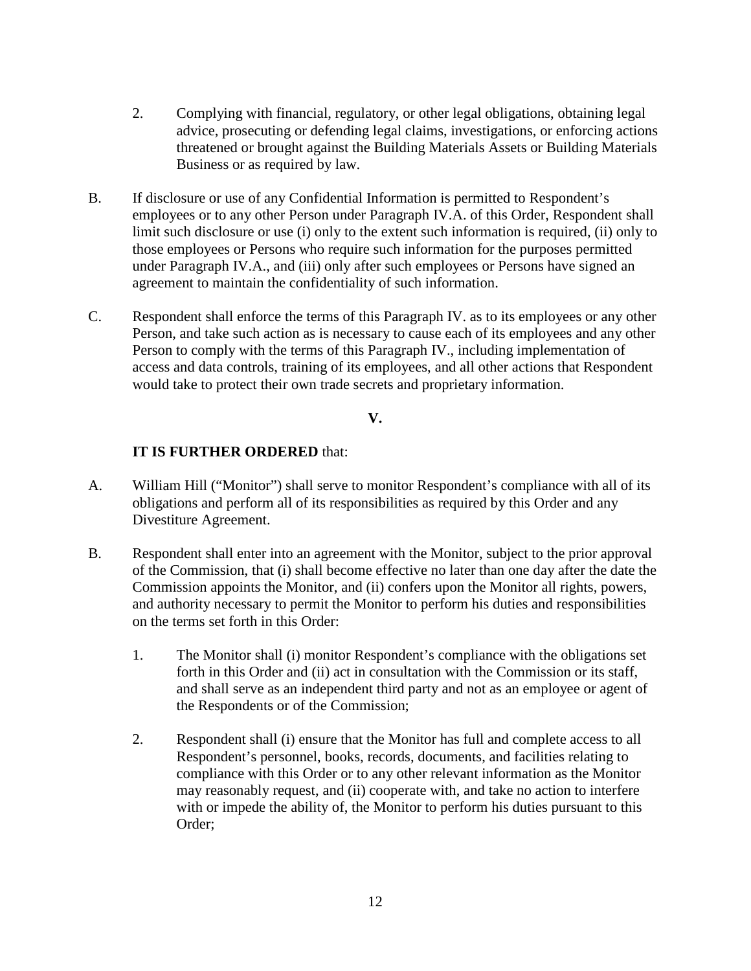- 2. Complying with financial, regulatory, or other legal obligations, obtaining legal advice, prosecuting or defending legal claims, investigations, or enforcing actions threatened or brought against the Building Materials Assets or Building Materials Business or as required by law.
- B. If disclosure or use of any Confidential Information is permitted to Respondent's employees or to any other Person under Paragraph IV.A. of this Order, Respondent shall limit such disclosure or use (i) only to the extent such information is required, (ii) only to those employees or Persons who require such information for the purposes permitted under Paragraph IV.A., and (iii) only after such employees or Persons have signed an agreement to maintain the confidentiality of such information.
- C. Respondent shall enforce the terms of this Paragraph IV. as to its employees or any other Person, and take such action as is necessary to cause each of its employees and any other Person to comply with the terms of this Paragraph IV., including implementation of access and data controls, training of its employees, and all other actions that Respondent would take to protect their own trade secrets and proprietary information.

### **V.**

- A. William Hill ("Monitor") shall serve to monitor Respondent's compliance with all of its obligations and perform all of its responsibilities as required by this Order and any Divestiture Agreement.
- B. Respondent shall enter into an agreement with the Monitor, subject to the prior approval of the Commission, that (i) shall become effective no later than one day after the date the Commission appoints the Monitor, and (ii) confers upon the Monitor all rights, powers, and authority necessary to permit the Monitor to perform his duties and responsibilities on the terms set forth in this Order:
	- 1. The Monitor shall (i) monitor Respondent's compliance with the obligations set forth in this Order and (ii) act in consultation with the Commission or its staff, and shall serve as an independent third party and not as an employee or agent of the Respondents or of the Commission;
	- 2. Respondent shall (i) ensure that the Monitor has full and complete access to all Respondent's personnel, books, records, documents, and facilities relating to compliance with this Order or to any other relevant information as the Monitor may reasonably request, and (ii) cooperate with, and take no action to interfere with or impede the ability of, the Monitor to perform his duties pursuant to this Order;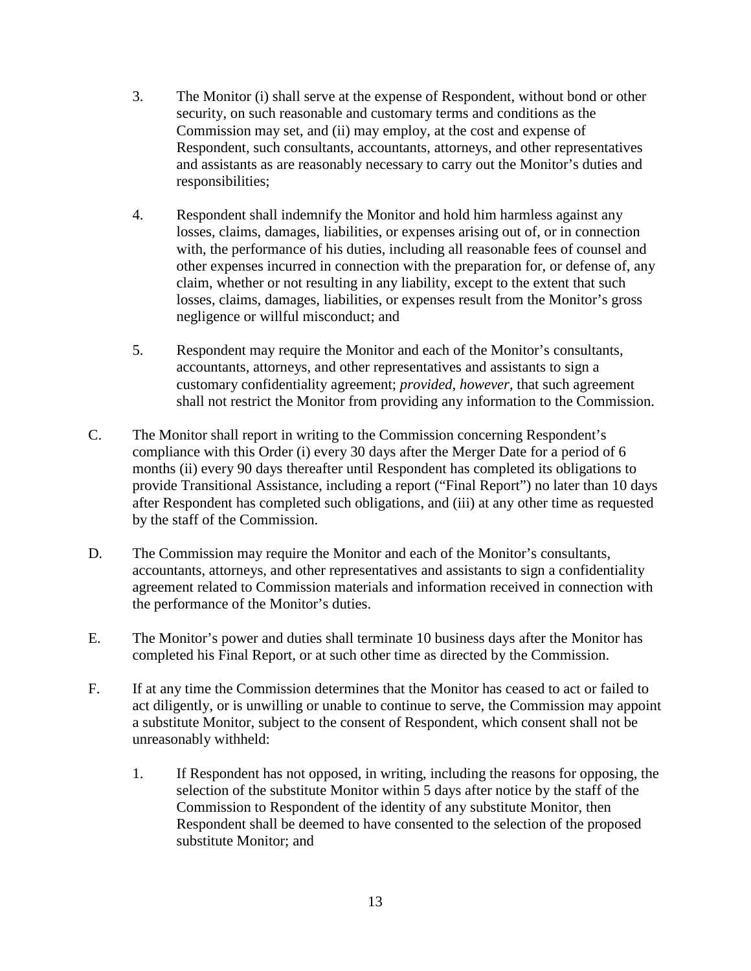- 3. The Monitor (i) shall serve at the expense of Respondent, without bond or other security, on such reasonable and customary terms and conditions as the Commission may set, and (ii) may employ, at the cost and expense of Respondent, such consultants, accountants, attorneys, and other representatives and assistants as are reasonably necessary to carry out the Monitor's duties and responsibilities;
- 4. Respondent shall indemnify the Monitor and hold him harmless against any losses, claims, damages, liabilities, or expenses arising out of, or in connection with, the performance of his duties, including all reasonable fees of counsel and other expenses incurred in connection with the preparation for, or defense of, any claim, whether or not resulting in any liability, except to the extent that such losses, claims, damages, liabilities, or expenses result from the Monitor's gross negligence or willful misconduct; and
- 5. Respondent may require the Monitor and each of the Monitor's consultants, accountants, attorneys, and other representatives and assistants to sign a customary confidentiality agreement; *provided, however,* that such agreement shall not restrict the Monitor from providing any information to the Commission.
- C. The Monitor shall report in writing to the Commission concerning Respondent's compliance with this Order (i) every 30 days after the Merger Date for a period of 6 months (ii) every 90 days thereafter until Respondent has completed its obligations to provide Transitional Assistance, including a report ("Final Report") no later than 10 days after Respondent has completed such obligations, and (iii) at any other time as requested by the staff of the Commission.
- D. The Commission may require the Monitor and each of the Monitor's consultants, accountants, attorneys, and other representatives and assistants to sign a confidentiality agreement related to Commission materials and information received in connection with the performance of the Monitor's duties.
- E. The Monitor's power and duties shall terminate 10 business days after the Monitor has completed his Final Report, or at such other time as directed by the Commission.
- F. If at any time the Commission determines that the Monitor has ceased to act or failed to act diligently, or is unwilling or unable to continue to serve, the Commission may appoint a substitute Monitor, subject to the consent of Respondent, which consent shall not be unreasonably withheld:
	- 1. If Respondent has not opposed, in writing, including the reasons for opposing, the selection of the substitute Monitor within 5 days after notice by the staff of the Commission to Respondent of the identity of any substitute Monitor, then Respondent shall be deemed to have consented to the selection of the proposed substitute Monitor; and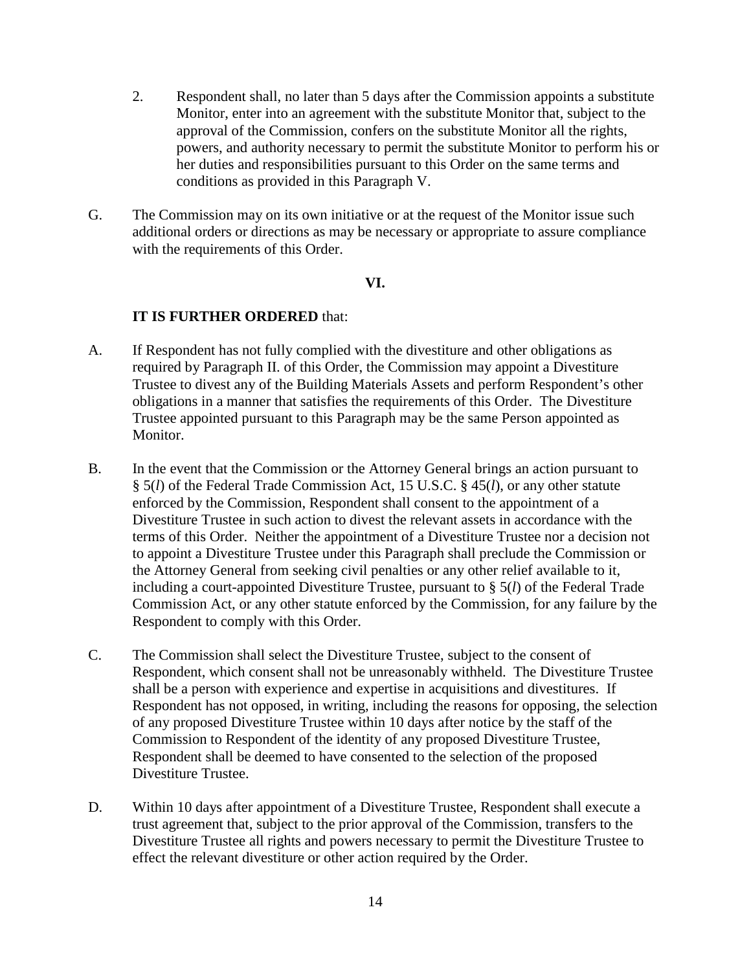- 2. Respondent shall, no later than 5 days after the Commission appoints a substitute Monitor, enter into an agreement with the substitute Monitor that, subject to the approval of the Commission, confers on the substitute Monitor all the rights, powers, and authority necessary to permit the substitute Monitor to perform his or her duties and responsibilities pursuant to this Order on the same terms and conditions as provided in this Paragraph V.
- G. The Commission may on its own initiative or at the request of the Monitor issue such additional orders or directions as may be necessary or appropriate to assure compliance with the requirements of this Order.

#### **VI.**

- A. If Respondent has not fully complied with the divestiture and other obligations as required by Paragraph II. of this Order, the Commission may appoint a Divestiture Trustee to divest any of the Building Materials Assets and perform Respondent's other obligations in a manner that satisfies the requirements of this Order. The Divestiture Trustee appointed pursuant to this Paragraph may be the same Person appointed as Monitor.
- B. In the event that the Commission or the Attorney General brings an action pursuant to § 5(*l*) of the Federal Trade Commission Act, 15 U.S.C. § 45(*l*), or any other statute enforced by the Commission, Respondent shall consent to the appointment of a Divestiture Trustee in such action to divest the relevant assets in accordance with the terms of this Order. Neither the appointment of a Divestiture Trustee nor a decision not to appoint a Divestiture Trustee under this Paragraph shall preclude the Commission or the Attorney General from seeking civil penalties or any other relief available to it, including a court-appointed Divestiture Trustee, pursuant to § 5(*l*) of the Federal Trade Commission Act, or any other statute enforced by the Commission, for any failure by the Respondent to comply with this Order.
- C. The Commission shall select the Divestiture Trustee, subject to the consent of Respondent, which consent shall not be unreasonably withheld. The Divestiture Trustee shall be a person with experience and expertise in acquisitions and divestitures. If Respondent has not opposed, in writing, including the reasons for opposing, the selection of any proposed Divestiture Trustee within 10 days after notice by the staff of the Commission to Respondent of the identity of any proposed Divestiture Trustee, Respondent shall be deemed to have consented to the selection of the proposed Divestiture Trustee.
- D. Within 10 days after appointment of a Divestiture Trustee, Respondent shall execute a trust agreement that, subject to the prior approval of the Commission, transfers to the Divestiture Trustee all rights and powers necessary to permit the Divestiture Trustee to effect the relevant divestiture or other action required by the Order.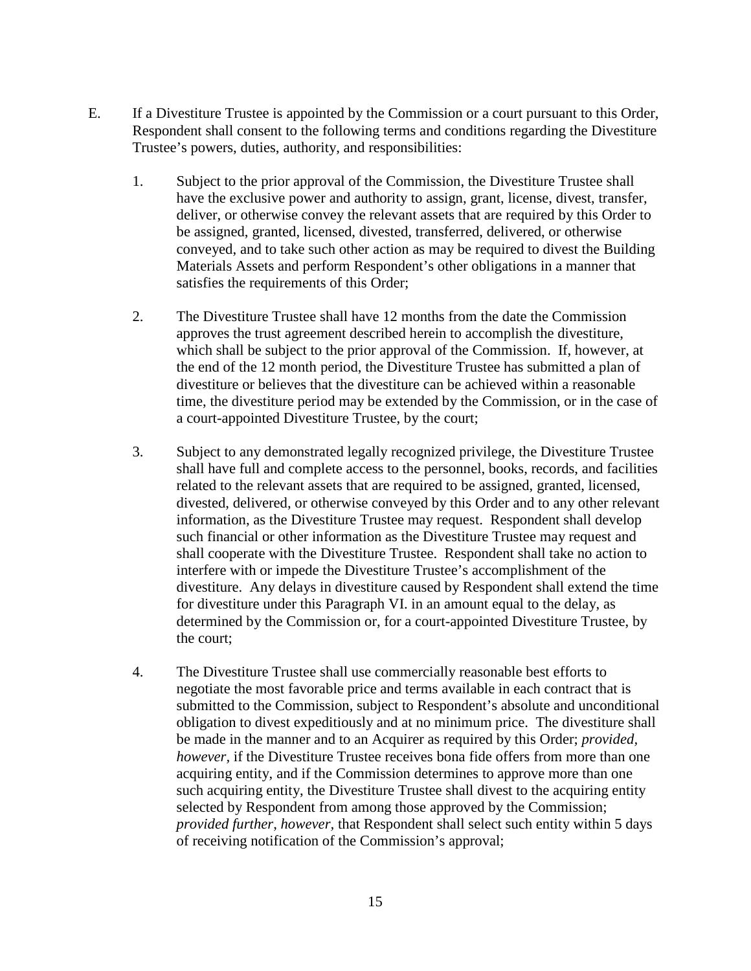- E. If a Divestiture Trustee is appointed by the Commission or a court pursuant to this Order, Respondent shall consent to the following terms and conditions regarding the Divestiture Trustee's powers, duties, authority, and responsibilities:
	- 1. Subject to the prior approval of the Commission, the Divestiture Trustee shall have the exclusive power and authority to assign, grant, license, divest, transfer, deliver, or otherwise convey the relevant assets that are required by this Order to be assigned, granted, licensed, divested, transferred, delivered, or otherwise conveyed, and to take such other action as may be required to divest the Building Materials Assets and perform Respondent's other obligations in a manner that satisfies the requirements of this Order;
	- 2. The Divestiture Trustee shall have 12 months from the date the Commission approves the trust agreement described herein to accomplish the divestiture, which shall be subject to the prior approval of the Commission. If, however, at the end of the 12 month period, the Divestiture Trustee has submitted a plan of divestiture or believes that the divestiture can be achieved within a reasonable time, the divestiture period may be extended by the Commission, or in the case of a court-appointed Divestiture Trustee, by the court;
	- 3. Subject to any demonstrated legally recognized privilege, the Divestiture Trustee shall have full and complete access to the personnel, books, records, and facilities related to the relevant assets that are required to be assigned, granted, licensed, divested, delivered, or otherwise conveyed by this Order and to any other relevant information, as the Divestiture Trustee may request. Respondent shall develop such financial or other information as the Divestiture Trustee may request and shall cooperate with the Divestiture Trustee. Respondent shall take no action to interfere with or impede the Divestiture Trustee's accomplishment of the divestiture. Any delays in divestiture caused by Respondent shall extend the time for divestiture under this Paragraph VI. in an amount equal to the delay, as determined by the Commission or, for a court-appointed Divestiture Trustee, by the court;
	- 4. The Divestiture Trustee shall use commercially reasonable best efforts to negotiate the most favorable price and terms available in each contract that is submitted to the Commission, subject to Respondent's absolute and unconditional obligation to divest expeditiously and at no minimum price. The divestiture shall be made in the manner and to an Acquirer as required by this Order; *provided, however,* if the Divestiture Trustee receives bona fide offers from more than one acquiring entity, and if the Commission determines to approve more than one such acquiring entity, the Divestiture Trustee shall divest to the acquiring entity selected by Respondent from among those approved by the Commission; *provided further*, *however,* that Respondent shall select such entity within 5 days of receiving notification of the Commission's approval;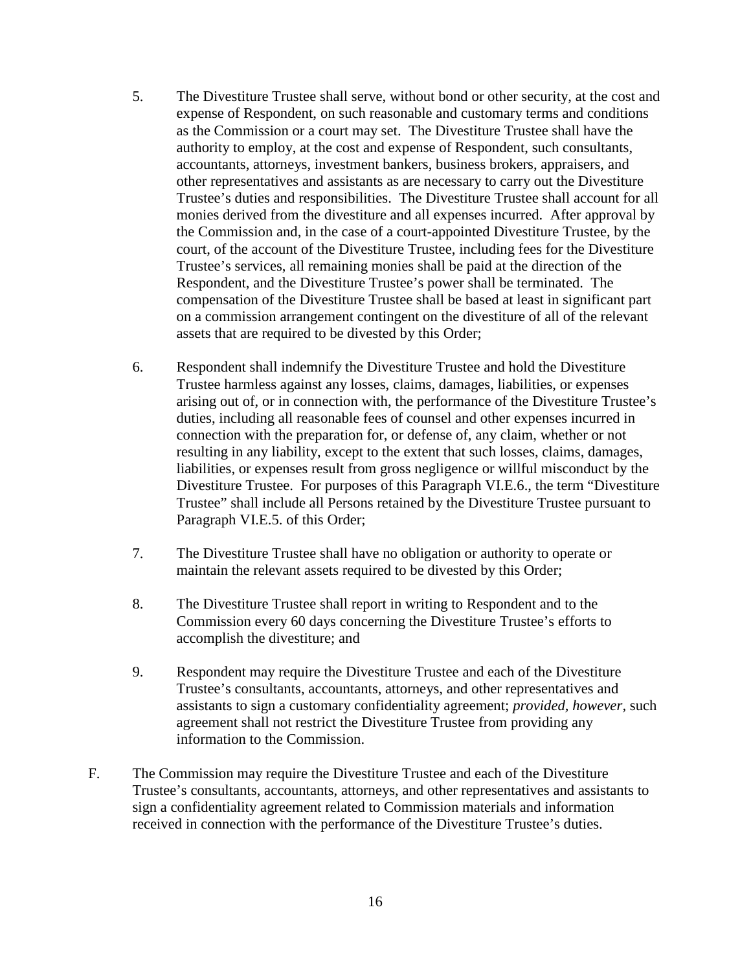- 5. The Divestiture Trustee shall serve, without bond or other security, at the cost and expense of Respondent, on such reasonable and customary terms and conditions as the Commission or a court may set. The Divestiture Trustee shall have the authority to employ, at the cost and expense of Respondent, such consultants, accountants, attorneys, investment bankers, business brokers, appraisers, and other representatives and assistants as are necessary to carry out the Divestiture Trustee's duties and responsibilities. The Divestiture Trustee shall account for all monies derived from the divestiture and all expenses incurred. After approval by the Commission and, in the case of a court-appointed Divestiture Trustee, by the court, of the account of the Divestiture Trustee, including fees for the Divestiture Trustee's services, all remaining monies shall be paid at the direction of the Respondent, and the Divestiture Trustee's power shall be terminated. The compensation of the Divestiture Trustee shall be based at least in significant part on a commission arrangement contingent on the divestiture of all of the relevant assets that are required to be divested by this Order;
- 6. Respondent shall indemnify the Divestiture Trustee and hold the Divestiture Trustee harmless against any losses, claims, damages, liabilities, or expenses arising out of, or in connection with, the performance of the Divestiture Trustee's duties, including all reasonable fees of counsel and other expenses incurred in connection with the preparation for, or defense of, any claim, whether or not resulting in any liability, except to the extent that such losses, claims, damages, liabilities, or expenses result from gross negligence or willful misconduct by the Divestiture Trustee. For purposes of this Paragraph VI.E.6., the term "Divestiture Trustee" shall include all Persons retained by the Divestiture Trustee pursuant to Paragraph VI.E.5. of this Order;
- 7. The Divestiture Trustee shall have no obligation or authority to operate or maintain the relevant assets required to be divested by this Order;
- 8. The Divestiture Trustee shall report in writing to Respondent and to the Commission every 60 days concerning the Divestiture Trustee's efforts to accomplish the divestiture; and
- 9. Respondent may require the Divestiture Trustee and each of the Divestiture Trustee's consultants, accountants, attorneys, and other representatives and assistants to sign a customary confidentiality agreement; *provided, however,* such agreement shall not restrict the Divestiture Trustee from providing any information to the Commission.
- F. The Commission may require the Divestiture Trustee and each of the Divestiture Trustee's consultants, accountants, attorneys, and other representatives and assistants to sign a confidentiality agreement related to Commission materials and information received in connection with the performance of the Divestiture Trustee's duties.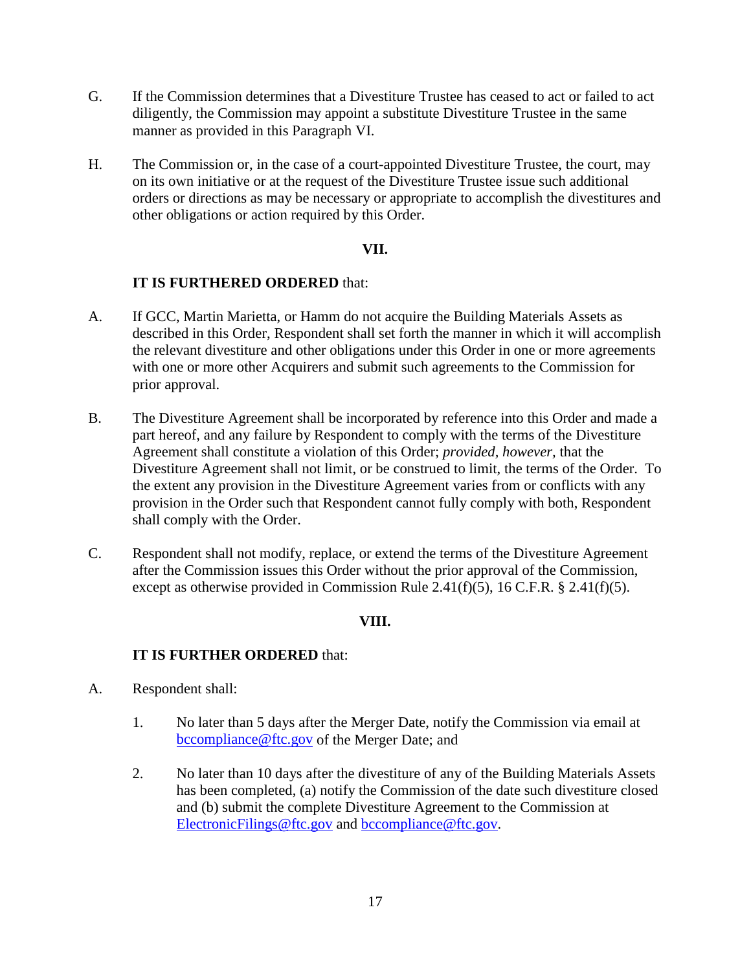- G. If the Commission determines that a Divestiture Trustee has ceased to act or failed to act diligently, the Commission may appoint a substitute Divestiture Trustee in the same manner as provided in this Paragraph VI.
- H. The Commission or, in the case of a court-appointed Divestiture Trustee, the court, may on its own initiative or at the request of the Divestiture Trustee issue such additional orders or directions as may be necessary or appropriate to accomplish the divestitures and other obligations or action required by this Order.

## **VII.**

# **IT IS FURTHERED ORDERED** that:

- A. If GCC, Martin Marietta, or Hamm do not acquire the Building Materials Assets as described in this Order, Respondent shall set forth the manner in which it will accomplish the relevant divestiture and other obligations under this Order in one or more agreements with one or more other Acquirers and submit such agreements to the Commission for prior approval.
- B. The Divestiture Agreement shall be incorporated by reference into this Order and made a part hereof, and any failure by Respondent to comply with the terms of the Divestiture Agreement shall constitute a violation of this Order; *provided, however,* that the Divestiture Agreement shall not limit, or be construed to limit, the terms of the Order. To the extent any provision in the Divestiture Agreement varies from or conflicts with any provision in the Order such that Respondent cannot fully comply with both, Respondent shall comply with the Order.
- C. Respondent shall not modify, replace, or extend the terms of the Divestiture Agreement after the Commission issues this Order without the prior approval of the Commission, except as otherwise provided in Commission Rule 2.41(f)(5), 16 C.F.R. § 2.41(f)(5).

# **VIII.**

- A. Respondent shall:
	- 1. No later than 5 days after the Merger Date, notify the Commission via email at [bccompliance@ftc.gov](mailto:bccompliance@ftc.gov) of the Merger Date; and
	- 2. No later than 10 days after the divestiture of any of the Building Materials Assets has been completed, (a) notify the Commission of the date such divestiture closed and (b) submit the complete Divestiture Agreement to the Commission at [ElectronicFilings@ftc.gov](mailto:ElectronicFilings@ftc.gov) and [bccompliance@ftc.gov.](mailto:bccompliance@ftc.gov)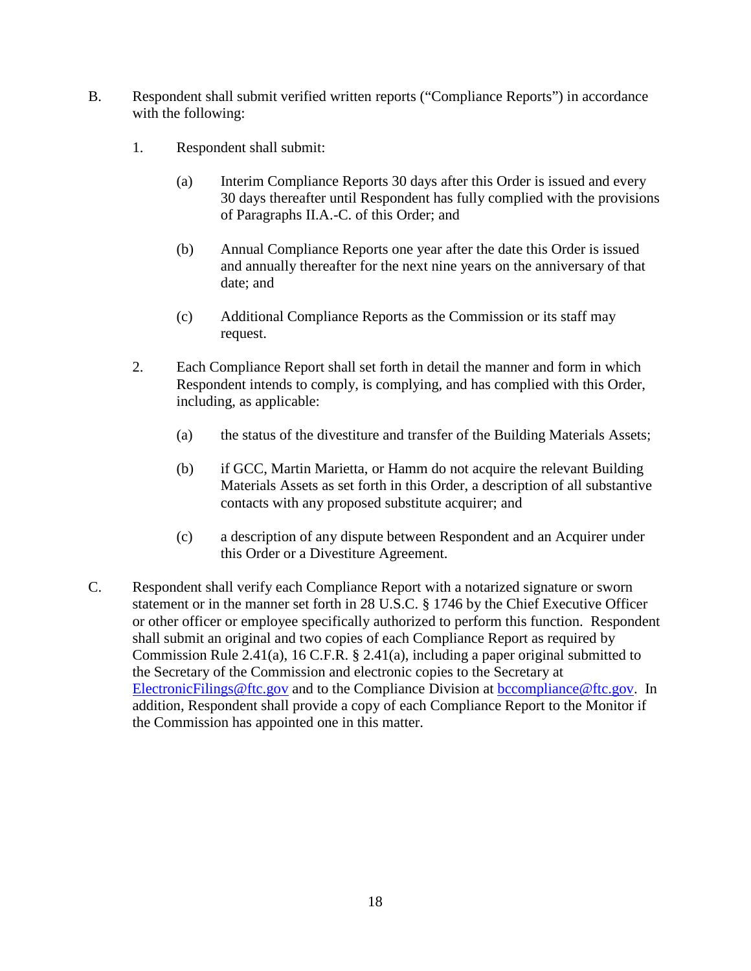- B. Respondent shall submit verified written reports ("Compliance Reports") in accordance with the following:
	- 1. Respondent shall submit:
		- (a) Interim Compliance Reports 30 days after this Order is issued and every 30 days thereafter until Respondent has fully complied with the provisions of Paragraphs II.A.-C. of this Order; and
		- (b) Annual Compliance Reports one year after the date this Order is issued and annually thereafter for the next nine years on the anniversary of that date; and
		- (c) Additional Compliance Reports as the Commission or its staff may request.
	- 2. Each Compliance Report shall set forth in detail the manner and form in which Respondent intends to comply, is complying, and has complied with this Order, including, as applicable:
		- (a) the status of the divestiture and transfer of the Building Materials Assets;
		- (b) if GCC, Martin Marietta, or Hamm do not acquire the relevant Building Materials Assets as set forth in this Order, a description of all substantive contacts with any proposed substitute acquirer; and
		- (c) a description of any dispute between Respondent and an Acquirer under this Order or a Divestiture Agreement.
- C. Respondent shall verify each Compliance Report with a notarized signature or sworn statement or in the manner set forth in 28 U.S.C. § 1746 by the Chief Executive Officer or other officer or employee specifically authorized to perform this function. Respondent shall submit an original and two copies of each Compliance Report as required by Commission Rule 2.41(a), 16 C.F.R. § 2.41(a), including a paper original submitted to the Secretary of the Commission and electronic copies to the Secretary at [ElectronicFilings@ftc.gov](mailto:ElectronicFilings@ftc.gov) and to the Compliance Division at [bccompliance@ftc.gov.](mailto:bccompliance@ftc.gov) In addition, Respondent shall provide a copy of each Compliance Report to the Monitor if the Commission has appointed one in this matter.